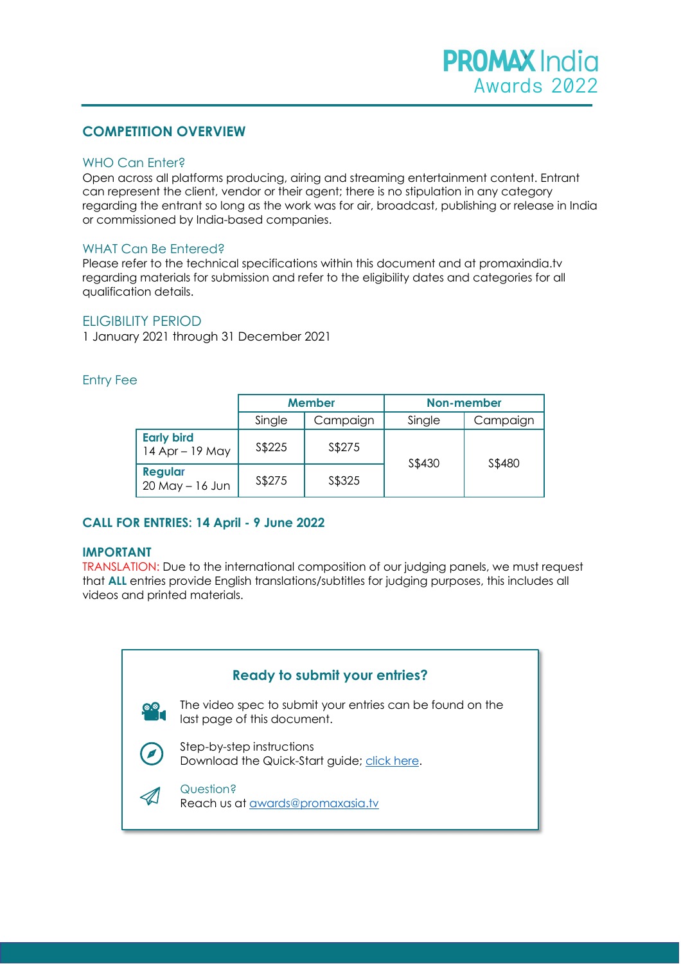# **COMPETITION OVERVIEW**

# WHO Can Enter?

Open across all platforms producing, airing and streaming entertainment content. Entrant can represent the client, vendor or their agent; there is no stipulation in any category regarding the entrant so long as the work was for air, broadcast, publishing or release in India or commissioned by India-based companies.

# WHAT Can Be Entered?

Please refer to the technical specifications within this document and at promaxindia.tv regarding materials for submission and refer to the eligibility dates and categories for all qualification details.

# ELIGIBILITY PERIOD

1 January 2021 through 31 December 2021

# Entry Fee

|                                      | <b>Member</b> |          | Non-member |          |  |
|--------------------------------------|---------------|----------|------------|----------|--|
|                                      | Single        | Campaign | Single     | Campaign |  |
| <b>Early bird</b><br>14 Apr - 19 May | S\$225        | S\$275   | S\$430     |          |  |
| <b>Regular</b><br>$20$ May $-16$ Jun | S\$275        | S\$325   |            | S\$480   |  |

# **CALL FOR ENTRIES: 14 April - 9 June 2022**

# **IMPORTANT**

TRANSLATION: Due to the international composition of our judging panels, we must request that **ALL** entries provide English translations/subtitles for judging purposes, this includes all videos and printed materials.

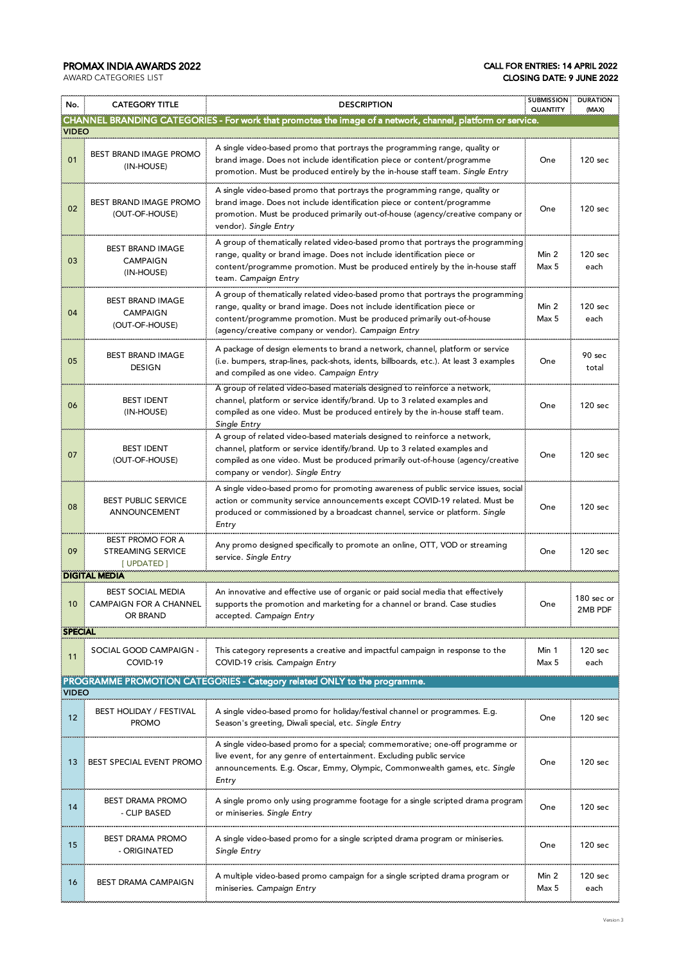## PROMAX INDIA AWARDS 2022 CALL FOR ENTRIES: 14 APRIL 2022 CLOSING DATE: 9 JUNE 2022

| No.                                                                                      | <b>CATEGORY TITLE</b>                                                                                                             | <b>DESCRIPTION</b>                                                                                                                                                                                                                                                                        |                | <b>SUBMISSION</b><br><b>DURATION</b><br>(MAX) |
|------------------------------------------------------------------------------------------|-----------------------------------------------------------------------------------------------------------------------------------|-------------------------------------------------------------------------------------------------------------------------------------------------------------------------------------------------------------------------------------------------------------------------------------------|----------------|-----------------------------------------------|
|                                                                                          |                                                                                                                                   | CHANNEL BRANDING CATEGORIES - For work that promotes the image of a network, channel, platform or service.                                                                                                                                                                                |                |                                               |
| <b>VIDEO</b>                                                                             |                                                                                                                                   |                                                                                                                                                                                                                                                                                           |                |                                               |
| 01                                                                                       | BEST BRAND IMAGE PROMO<br>(IN-HOUSE)                                                                                              | A single video-based promo that portrays the programming range, quality or<br>brand image. Does not include identification piece or content/programme<br>promotion. Must be produced entirely by the in-house staff team. Single Entry                                                    | One            | 120 sec                                       |
| 02                                                                                       | <b>BEST BRAND IMAGE PROMO</b><br>(OUT-OF-HOUSE)                                                                                   | A single video-based promo that portrays the programming range, quality or<br>brand image. Does not include identification piece or content/programme<br>promotion. Must be produced primarily out-of-house (agency/creative company or<br>vendor). Single Entry                          |                | 120 sec                                       |
| 03                                                                                       | <b>BEST BRAND IMAGE</b><br><b>CAMPAIGN</b><br>(IN-HOUSE)                                                                          | A group of thematically related video-based promo that portrays the programming<br>range, quality or brand image. Does not include identification piece or<br>content/programme promotion. Must be produced entirely by the in-house staff<br>team. Campaign Entry                        |                | 120 sec<br>each                               |
| 04                                                                                       | <b>BEST BRAND IMAGE</b><br><b>CAMPAIGN</b><br>(OUT-OF-HOUSE)                                                                      | A group of thematically related video-based promo that portrays the programming<br>range, quality or brand image. Does not include identification piece or<br>content/programme promotion. Must be produced primarily out-of-house<br>(agency/creative company or vendor). Campaign Entry | Min 2<br>Max 5 | 120 sec<br>each                               |
| 05                                                                                       | <b>BEST BRAND IMAGE</b><br><b>DESIGN</b>                                                                                          | A package of design elements to brand a network, channel, platform or service<br>(i.e. bumpers, strap-lines, pack-shots, idents, billboards, etc.). At least 3 examples<br>and compiled as one video. Campaign Entry                                                                      | One            | 90 sec<br>total                               |
| 06                                                                                       | <b>BEST IDENT</b><br>(IN-HOUSE)                                                                                                   | A group of related video-based materials designed to reinforce a network,<br>channel, platform or service identify/brand. Up to 3 related examples and<br>compiled as one video. Must be produced entirely by the in-house staff team.<br>Single Entry                                    | One            | 120 sec                                       |
| 07                                                                                       | <b>BEST IDENT</b><br>(OUT-OF-HOUSE)                                                                                               | A group of related video-based materials designed to reinforce a network,<br>channel, platform or service identify/brand. Up to 3 related examples and<br>compiled as one video. Must be produced primarily out-of-house (agency/creative<br>company or vendor). Single Entry             | One            | 120 sec                                       |
| 08                                                                                       | <b>BEST PUBLIC SERVICE</b><br>ANNOUNCEMENT                                                                                        | A single video-based promo for promoting awareness of public service issues, social<br>action or community service announcements except COVID-19 related. Must be<br>produced or commissioned by a broadcast channel, service or platform. Single<br>Entry                                | One            | 120 sec                                       |
| 09                                                                                       | <b>BEST PROMO FOR A</b><br>STREAMING SERVICE<br>[ UPDATED ]                                                                       | Any promo designed specifically to promote an online, OTT, VOD or streaming<br>service. Single Entry                                                                                                                                                                                      | One            | 120 sec                                       |
|                                                                                          | <b>DIGITAL MEDIA</b>                                                                                                              |                                                                                                                                                                                                                                                                                           |                |                                               |
| 10                                                                                       | <b>BEST SOCIAL MEDIA</b><br><b>CAMPAIGN FOR A CHANNEL</b><br>OR BRAND                                                             | An innovative and effective use of organic or paid social media that effectively<br>supports the promotion and marketing for a channel or brand. Case studies<br>accepted. Campaign Entry                                                                                                 | One            | 180 sec or<br>2MB PDF                         |
| <b>SPECIAL</b>                                                                           |                                                                                                                                   |                                                                                                                                                                                                                                                                                           |                |                                               |
| 11                                                                                       | SOCIAL GOOD CAMPAIGN -<br>COVID-19                                                                                                | This category represents a creative and impactful campaign in response to the<br>COVID-19 crisis. Campaign Entry                                                                                                                                                                          | Min 1<br>Max 5 | 120 sec<br>each                               |
| PROGRAMME PROMOTION CATEGORIES - Category related ONLY to the programme.<br><b>VIDEO</b> |                                                                                                                                   |                                                                                                                                                                                                                                                                                           |                |                                               |
| 12                                                                                       | <b>BEST HOLIDAY / FESTIVAL</b><br><b>PROMO</b>                                                                                    | A single video-based promo for holiday/festival channel or programmes. E.g.<br>Season's greeting, Diwali special, etc. Single Entry                                                                                                                                                       | One            | 120 sec                                       |
| 13                                                                                       | BEST SPECIAL EVENT PROMO                                                                                                          | A single video-based promo for a special; commemorative; one-off programme or<br>live event, for any genre of entertainment. Excluding public service<br>announcements. E.g. Oscar, Emmy, Olympic, Commonwealth games, etc. Single<br>Entry                                               |                | 120 sec                                       |
| 14                                                                                       | <b>BEST DRAMA PROMO</b><br>- CLIP BASED                                                                                           | A single promo only using programme footage for a single scripted drama program?<br>or miniseries. Single Entry                                                                                                                                                                           |                | 120 sec                                       |
| 15                                                                                       | BEST DRAMA PROMO<br>- ORIGINATED                                                                                                  | A single video-based promo for a single scripted drama program or miniseries.<br>Single Entry                                                                                                                                                                                             |                | 120 sec                                       |
| 16                                                                                       | A multiple video-based promo campaign for a single scripted drama program or<br>BEST DRAMA CAMPAIGN<br>miniseries. Campaign Entry |                                                                                                                                                                                                                                                                                           | Min 2<br>Max 5 | 120 sec<br>each                               |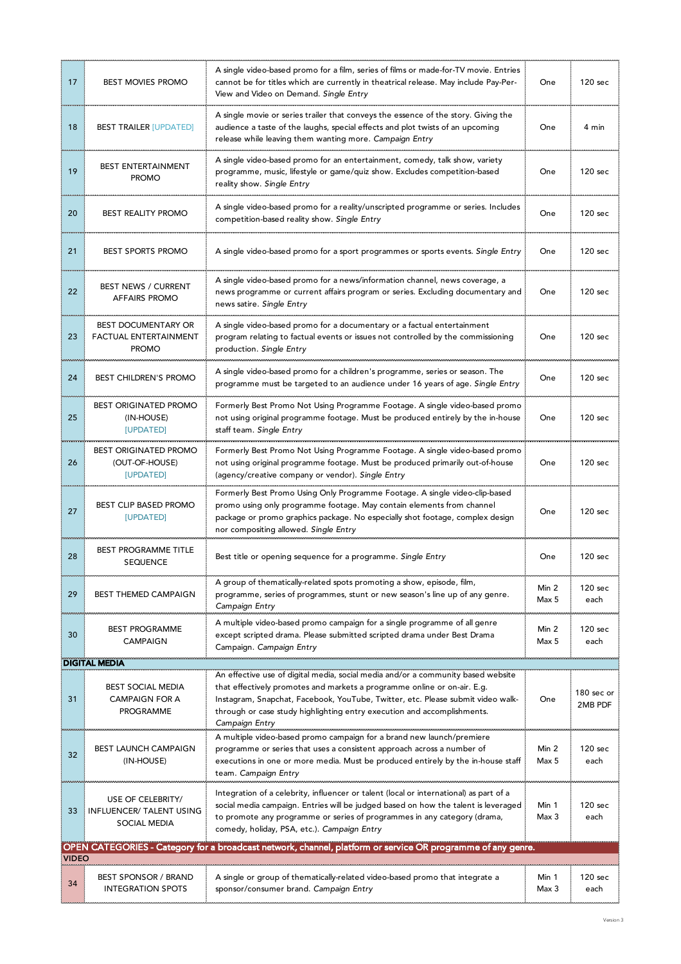| 17    | <b>BEST MOVIES PROMO</b>                                              | A single video-based promo for a film, series of films or made-for-TV movie. Entries<br>cannot be for titles which are currently in theatrical release. May include Pay-Per-<br>View and Video on Demand. Single Entry                                                                                                                       |                | 120 sec               |
|-------|-----------------------------------------------------------------------|----------------------------------------------------------------------------------------------------------------------------------------------------------------------------------------------------------------------------------------------------------------------------------------------------------------------------------------------|----------------|-----------------------|
| 18    | <b>BEST TRAILER [UPDATED]</b>                                         | A single movie or series trailer that conveys the essence of the story. Giving the<br>audience a taste of the laughs, special effects and plot twists of an upcoming<br>release while leaving them wanting more. Campaign Entry                                                                                                              |                | 4 min                 |
| 19    | <b>BEST ENTERTAINMENT</b><br><b>PROMO</b>                             | A single video-based promo for an entertainment, comedy, talk show, variety<br>programme, music, lifestyle or game/quiz show. Excludes competition-based<br>reality show. Single Entry                                                                                                                                                       | One            | 120 sec               |
| 20    | <b>BEST REALITY PROMO</b>                                             | A single video-based promo for a reality/unscripted programme or series. Includes<br>competition-based reality show. Single Entry                                                                                                                                                                                                            |                | 120 sec               |
| 21    | <b>BEST SPORTS PROMO</b>                                              | A single video-based promo for a sport programmes or sports events. Single Entry                                                                                                                                                                                                                                                             | One            | 120 sec               |
| 22    | <b>BEST NEWS / CURRENT</b><br><b>AFFAIRS PROMO</b>                    | A single video-based promo for a news/information channel, news coverage, a<br>news programme or current affairs program or series. Excluding documentary and<br>news satire. Single Entry                                                                                                                                                   | One            | 120 sec               |
| 23    | <b>BEST DOCUMENTARY OR</b><br>FACTUAL ENTERTAINMENT<br><b>PROMO</b>   | A single video-based promo for a documentary or a factual entertainment<br>program relating to factual events or issues not controlled by the commissioning<br>production. Single Entry                                                                                                                                                      | One            | 120 sec               |
| 24    | BEST CHILDREN'S PROMO                                                 | A single video-based promo for a children's programme, series or season. The<br>programme must be targeted to an audience under 16 years of age. Single Entry                                                                                                                                                                                | One            | 120 sec               |
| 25    | <b>BEST ORIGINATED PROMO</b><br>(IN-HOUSE)<br>[UPDATED]               | Formerly Best Promo Not Using Programme Footage. A single video-based promo<br>not using original programme footage. Must be produced entirely by the in-house<br>staff team. Single Entry                                                                                                                                                   | One            | 120 sec               |
| 26    | <b>BEST ORIGINATED PROMO</b><br>(OUT-OF-HOUSE)<br>[UPDATED]           | Formerly Best Promo Not Using Programme Footage. A single video-based promo<br>not using original programme footage. Must be produced primarily out-of-house<br>(agency/creative company or vendor). Single Entry                                                                                                                            | One            | 120 <sub>sec</sub>    |
| 27    | <b>BEST CLIP BASED PROMO</b><br>[UPDATED]                             | Formerly Best Promo Using Only Programme Footage. A single video-clip-based<br>promo using only programme footage. May contain elements from channel<br>package or promo graphics package. No especially shot footage, complex design<br>nor compositing allowed. Single Entry                                                               | One            | 120 sec               |
| 28    | <b>BEST PROGRAMME TITLE</b><br><b>SEQUENCE</b>                        | Best title or opening sequence for a programme. Single Entry                                                                                                                                                                                                                                                                                 | One            | 120 sec               |
| 29    | <b>BEST THEMED CAMPAIGN</b>                                           | A group of thematically-related spots promoting a show, episode, film,<br>programme, series of programmes, stunt or new season's line up of any genre.<br>Campaign Entry                                                                                                                                                                     | Min 2<br>Max 5 | 120 sec<br>each       |
| 30    | <b>BEST PROGRAMME</b><br><b>CAMPAIGN</b>                              | A multiple video-based promo campaign for a single programme of all genre<br>except scripted drama. Please submitted scripted drama under Best Drama<br>Campaign. Campaign Entry                                                                                                                                                             | Min 2<br>Max 5 | 120 sec<br>each       |
|       | <b>DIGITAL MEDIA</b>                                                  |                                                                                                                                                                                                                                                                                                                                              |                |                       |
| 31    | <b>BEST SOCIAL MEDIA</b><br><b>CAMPAIGN FOR A</b><br><b>PROGRAMME</b> | An effective use of digital media, social media and/or a community based website<br>that effectively promotes and markets a programme online or on-air. E.g.<br>Instagram, Snapchat, Facebook, YouTube, Twitter, etc. Please submit video walk-<br>through or case study highlighting entry execution and accomplishments.<br>Campaign Entry | One            | 180 sec or<br>2MB PDF |
| 32    | <b>BEST LAUNCH CAMPAIGN</b><br>(IN-HOUSE)                             | A multiple video-based promo campaign for a brand new launch/premiere<br>programme or series that uses a consistent approach across a number of<br>executions in one or more media. Must be produced entirely by the in-house staff<br>team. Campaign Entry                                                                                  | Min 2<br>Max 5 | 120 sec<br>each       |
| 33    | USE OF CELEBRITY/<br>INFLUENCER/ TALENT USING<br><b>SOCIAL MEDIA</b>  | Integration of a celebrity, influencer or talent (local or international) as part of a<br>social media campaign. Entries will be judged based on how the talent is leveraged<br>to promote any programme or series of programmes in any category (drama,<br>comedy, holiday, PSA, etc.). Campaign Entry                                      | Min 1<br>Max 3 | 120 sec<br>each       |
|       |                                                                       | OPEN CATEGORIES - Category for a broadcast network, channel, platform or service OR programme of any genre.                                                                                                                                                                                                                                  |                |                       |
| VIDEO |                                                                       |                                                                                                                                                                                                                                                                                                                                              |                |                       |
| 34    | BEST SPONSOR / BRAND<br><b>INTEGRATION SPOTS</b>                      | A single or group of thematically-related video-based promo that integrate a<br>sponsor/consumer brand. Campaign Entry                                                                                                                                                                                                                       | Min 1<br>Max 3 | 120 sec<br>each       |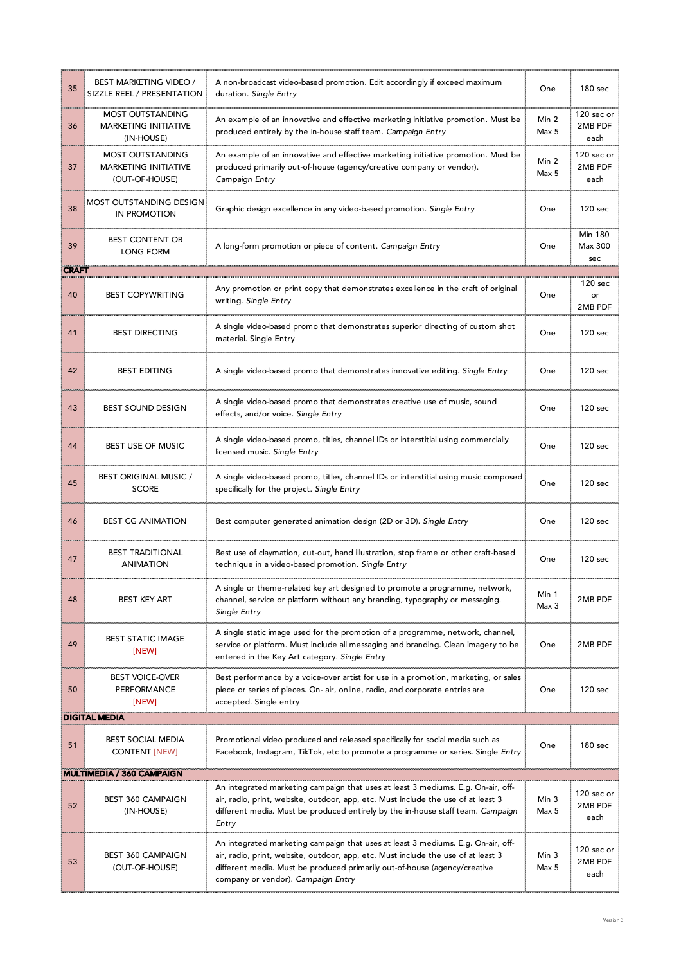| 35           | BEST MARKETING VIDEO /<br>SIZZLE REEL / PRESENTATION              | A non-broadcast video-based promotion. Edit accordingly if exceed maximum<br>duration. Single Entry                                                                                                                                                                                      |                | 180 <sub>sec</sub>               |
|--------------|-------------------------------------------------------------------|------------------------------------------------------------------------------------------------------------------------------------------------------------------------------------------------------------------------------------------------------------------------------------------|----------------|----------------------------------|
| 36           | MOST OUTSTANDING<br><b>MARKETING INITIATIVE</b><br>(IN-HOUSE)     | An example of an innovative and effective marketing initiative promotion. Must be<br>produced entirely by the in-house staff team. Campaign Entry                                                                                                                                        |                | 120 sec or<br>2MB PDF<br>each    |
| 37           | MOST OUTSTANDING<br><b>MARKETING INITIATIVE</b><br>(OUT-OF-HOUSE) | An example of an innovative and effective marketing initiative promotion. Must be<br>produced primarily out-of-house (agency/creative company or vendor).<br>Campaign Entry                                                                                                              |                | 120 sec or<br>2MB PDF<br>each    |
| 38           | <b>MOST OUTSTANDING DESIGN</b><br><b>IN PROMOTION</b>             | Graphic design excellence in any video-based promotion. Single Entry                                                                                                                                                                                                                     |                | 120 sec                          |
| 39           | <b>BEST CONTENT OR</b><br><b>LONG FORM</b>                        | A long-form promotion or piece of content. Campaign Entry                                                                                                                                                                                                                                |                | <b>Min 180</b><br>Max 300<br>sec |
| <b>CRAFT</b> |                                                                   |                                                                                                                                                                                                                                                                                          |                |                                  |
| 40           | <b>BEST COPYWRITING</b>                                           | Any promotion or print copy that demonstrates excellence in the craft of original<br>writing. Single Entry                                                                                                                                                                               | One            | 120 sec<br>or<br>2MB PDF         |
| 41           | <b>BEST DIRECTING</b>                                             | A single video-based promo that demonstrates superior directing of custom shot<br>material. Single Entry                                                                                                                                                                                 | One            | 120 sec                          |
| 42           | <b>BEST EDITING</b>                                               | A single video-based promo that demonstrates innovative editing. Single Entry                                                                                                                                                                                                            |                | 120 sec                          |
| 43           | BEST SOUND DESIGN                                                 | A single video-based promo that demonstrates creative use of music, sound<br>effects, and/or voice. Single Entry                                                                                                                                                                         | One            | 120 sec                          |
| 44           | BEST USE OF MUSIC                                                 | A single video-based promo, titles, channel IDs or interstitial using commercially<br>licensed music. Single Entry                                                                                                                                                                       | One            | 120 sec                          |
| 45           | BEST ORIGINAL MUSIC /<br><b>SCORE</b>                             | A single video-based promo, titles, channel IDs or interstitial using music composed<br>specifically for the project. Single Entry                                                                                                                                                       |                | 120 sec                          |
| 46           | <b>BEST CG ANIMATION</b>                                          | Best computer generated animation design (2D or 3D). Single Entry                                                                                                                                                                                                                        |                | 120 <sub>sec</sub>               |
| 47           | <b>BEST TRADITIONAL</b><br><b>ANIMATION</b>                       | Best use of claymation, cut-out, hand illustration, stop frame or other craft-based<br>technique in a video-based promotion. Single Entry                                                                                                                                                |                | 120 sec                          |
| 48           | BEST KEY ART                                                      | A single or theme-related key art designed to promote a programme, network,<br>channel, service or platform without any branding, typography or messaging.<br>Single Entry                                                                                                               | Min 1<br>Max 3 | 2MB PDF                          |
| 49           | <b>BEST STATIC IMAGE</b><br>[NEW]                                 | A single static image used for the promotion of a programme, network, channel,<br>service or platform. Must include all messaging and branding. Clean imagery to be<br>entered in the Key Art category. Single Entry                                                                     | One            | 2MB PDF                          |
| 50           | <b>BEST VOICE-OVER</b><br><b>PERFORMANCE</b><br>[NEW]             | Best performance by a voice-over artist for use in a promotion, marketing, or sales<br>piece or series of pieces. On- air, online, radio, and corporate entries are<br>accepted. Single entry                                                                                            | One            | 120 sec                          |
|              | <b>DIGITAL MEDIA</b>                                              |                                                                                                                                                                                                                                                                                          |                |                                  |
| 51           | <b>BEST SOCIAL MEDIA</b><br><b>CONTENT</b> [NEW]                  | Promotional video produced and released specifically for social media such as<br>Facebook, Instagram, TikTok, etc to promote a programme or series. Single Entry                                                                                                                         | One            | 180 sec                          |
|              | <b>MULTIMEDIA / 360 CAMPAIGN</b>                                  |                                                                                                                                                                                                                                                                                          |                |                                  |
| 52           | <b>BEST 360 CAMPAIGN</b><br>(IN-HOUSE)                            | An integrated marketing campaign that uses at least 3 mediums. E.g. On-air, off-<br>air, radio, print, website, outdoor, app, etc. Must include the use of at least 3<br>different media. Must be produced entirely by the in-house staff team. Campaign<br>Entry                        | Min 3<br>Max 5 | 120 sec or<br>2MB PDF<br>each    |
| 53           | <b>BEST 360 CAMPAIGN</b><br>(OUT-OF-HOUSE)                        | An integrated marketing campaign that uses at least 3 mediums. E.g. On-air, off-<br>air, radio, print, website, outdoor, app, etc. Must include the use of at least 3<br>different media. Must be produced primarily out-of-house (agency/creative<br>company or vendor). Campaign Entry | Min 3<br>Max 5 | 120 sec or<br>2MB PDF<br>each    |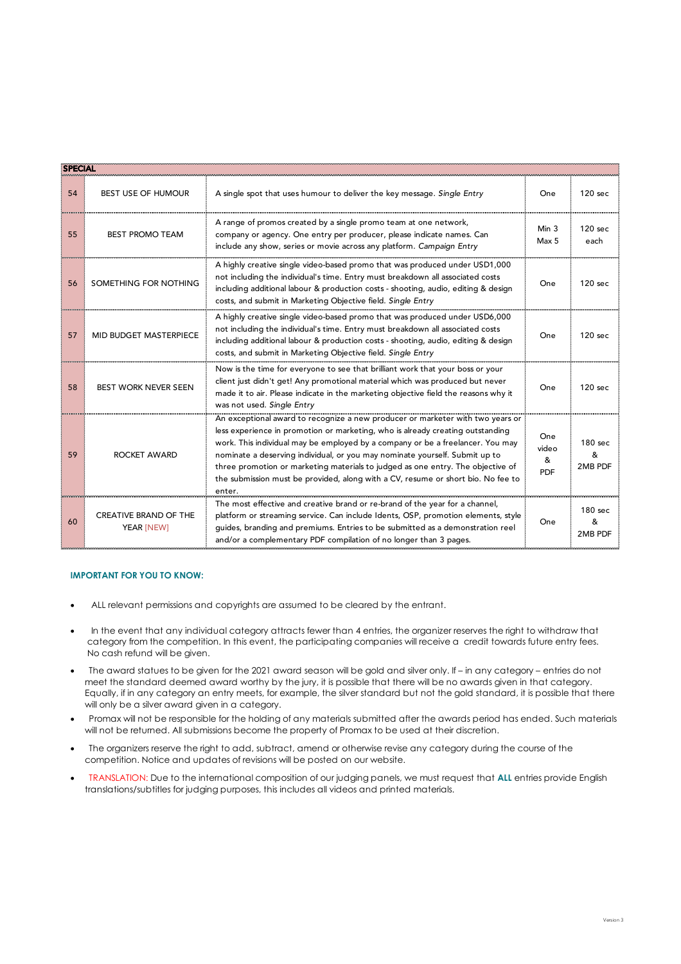| <b>SPECIAL</b> |                                                                                                                                                                                                                                                                                                                                                                                                                                                                                                                                           |                                                                                                                                                                                                                                                                                                                          |                                 |                         |
|----------------|-------------------------------------------------------------------------------------------------------------------------------------------------------------------------------------------------------------------------------------------------------------------------------------------------------------------------------------------------------------------------------------------------------------------------------------------------------------------------------------------------------------------------------------------|--------------------------------------------------------------------------------------------------------------------------------------------------------------------------------------------------------------------------------------------------------------------------------------------------------------------------|---------------------------------|-------------------------|
| 54             | <b>BEST USE OF HUMOUR</b>                                                                                                                                                                                                                                                                                                                                                                                                                                                                                                                 | A single spot that uses humour to deliver the key message. Single Entry                                                                                                                                                                                                                                                  |                                 | 120 sec                 |
| 55             | <b>BEST PROMO TEAM</b>                                                                                                                                                                                                                                                                                                                                                                                                                                                                                                                    | A range of promos created by a single promo team at one network,<br>company or agency. One entry per producer, please indicate names. Can<br>include any show, series or movie across any platform. Campaign Entry                                                                                                       |                                 | 120 sec<br>each         |
| 56             | SOMETHING FOR NOTHING                                                                                                                                                                                                                                                                                                                                                                                                                                                                                                                     | A highly creative single video-based promo that was produced under USD1,000<br>not including the individual's time. Entry must breakdown all associated costs<br>including additional labour & production costs - shooting, audio, editing & design<br>costs, and submit in Marketing Objective field. Single Entry      | One                             | 120 sec                 |
| 57             | MID BUDGET MASTERPIECE                                                                                                                                                                                                                                                                                                                                                                                                                                                                                                                    | A highly creative single video-based promo that was produced under USD6,000<br>not including the individual's time. Entry must breakdown all associated costs<br>including additional labour & production costs - shooting, audio, editing & design<br>costs, and submit in Marketing Objective field. Single Entry      |                                 | 120 sec                 |
| 58             | Now is the time for everyone to see that brilliant work that your boss or your<br>client just didn't get! Any promotional material which was produced but never<br><b>BEST WORK NEVER SEEN</b><br>made it to air. Please indicate in the marketing objective field the reasons why it<br>was not used. Single Entry                                                                                                                                                                                                                       |                                                                                                                                                                                                                                                                                                                          | One                             | 120 sec                 |
| 59             | An exceptional award to recognize a new producer or marketer with two years or<br>less experience in promotion or marketing, who is already creating outstanding<br>work. This individual may be employed by a company or be a freelancer. You may<br>nominate a deserving individual, or you may nominate yourself. Submit up to<br><b>ROCKET AWARD</b><br>three promotion or marketing materials to judged as one entry. The objective of<br>the submission must be provided, along with a CV, resume or short bio. No fee to<br>enter. |                                                                                                                                                                                                                                                                                                                          | One<br>video<br>&<br><b>PDF</b> | 180 sec<br>&<br>2MB PDF |
| 60             | <b>CREATIVE BRAND OF THE</b><br>YEAR [NEW]                                                                                                                                                                                                                                                                                                                                                                                                                                                                                                | The most effective and creative brand or re-brand of the year for a channel,<br>platform or streaming service. Can include Idents, OSP, promotion elements, style<br>guides, branding and premiums. Entries to be submitted as a demonstration reel<br>and/or a complementary PDF compilation of no longer than 3 pages. | One                             | 180 sec<br>&<br>2MB PDF |

#### **IMPORTANT FOR YOU TO KNOW:**

- ALL relevant permissions and copyrights are assumed to be cleared by the entrant.
- In the event that any individual category attracts fewer than 4 entries, the organizer reserves the right to withdraw that category from the competition. In this event, the participating companies will receive a credit towards future entry fees. No cash refund will be given.
- The award statues to be given for the 2021 award season will be gold and silver only. If in any category entries do not meet the standard deemed award worthy by the jury, it is possible that there will be no awards given in that category. Equally, if in any category an entry meets, for example, the silver standard but not the gold standard, it is possible that there will only be a silver award given in a category.
- Promax will not be responsible for the holding of any materials submitted after the awards period has ended. Such materials will not be returned. All submissions become the property of Promax to be used at their discretion.
- The organizers reserve the right to add, subtract, amend or otherwise revise any category during the course of the competition. Notice and updates of revisions will be posted on our website.
- TRANSLATION: Due to the international composition of our judging panels, we must request that **ALL** entries provide English translations/subtitles for judging purposes, this includes all videos and printed materials.